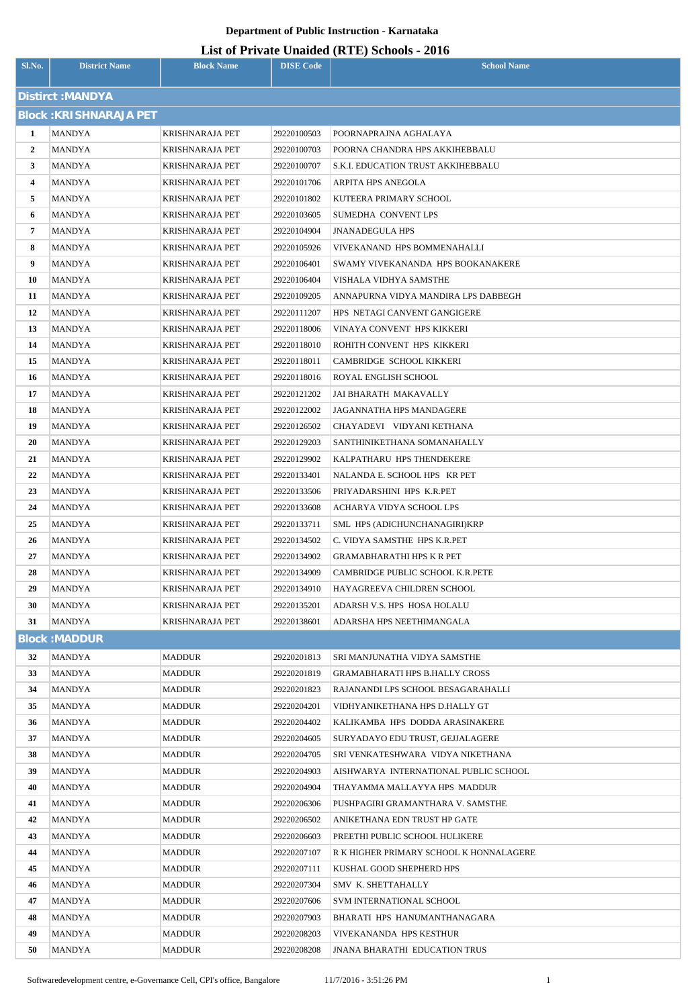| List of Private Unaided (RTE) Schools - 2016 |
|----------------------------------------------|
|----------------------------------------------|

| Sl.No.           | <b>District Name</b>          | <b>Block Name</b>      | <b>DISE Code</b> | Lest of Frivan Unanity (KTL) Schools - 2010<br><b>School Name</b> |  |
|------------------|-------------------------------|------------------------|------------------|-------------------------------------------------------------------|--|
| Distirct: MANDYA |                               |                        |                  |                                                                   |  |
|                  |                               |                        |                  |                                                                   |  |
|                  | <b>Block: KRISHNARAJA PET</b> |                        |                  |                                                                   |  |
| 1                | <b>MANDYA</b>                 | <b>KRISHNARAJA PET</b> | 29220100503      | POORNAPRAJNA AGHALAYA                                             |  |
| $\overline{2}$   | MANDYA                        | KRISHNARAJA PET        | 29220100703      | POORNA CHANDRA HPS AKKIHEBBALU                                    |  |
| $\mathbf{3}$     | MANDYA                        | <b>KRISHNARAJA PET</b> | 29220100707      | S.K.I. EDUCATION TRUST AKKIHEBBALU                                |  |
| 4                | <b>MANDYA</b>                 | KRISHNARAJA PET        | 29220101706      | ARPITA HPS ANEGOLA                                                |  |
| 5                | <b>MANDYA</b>                 | <b>KRISHNARAJA PET</b> | 29220101802      | KUTEERA PRIMARY SCHOOL                                            |  |
| 6                | <b>MANDYA</b>                 | KRISHNARAJA PET        | 29220103605      | SUMEDHA CONVENT LPS                                               |  |
| 7                | <b>MANDYA</b>                 | KRISHNARAJA PET        | 29220104904      | JNANADEGULA HPS                                                   |  |
| 8                | MANDYA                        | KRISHNARAJA PET        | 29220105926      | VIVEKANAND HPS BOMMENAHALLI                                       |  |
| 9                | <b>MANDYA</b>                 | KRISHNARAJA PET        | 29220106401      | SWAMY VIVEKANANDA HPS BOOKANAKERE                                 |  |
| 10               | MANDYA                        | <b>KRISHNARAJA PET</b> | 29220106404      | VISHALA VIDHYA SAMSTHE                                            |  |
| 11               | <b>MANDYA</b>                 | KRISHNARAJA PET        | 29220109205      | ANNAPURNA VIDYA MANDIRA LPS DABBEGH                               |  |
| 12               | <b>MANDYA</b>                 | KRISHNARAJA PET        | 29220111207      | HPS NETAGI CANVENT GANGIGERE                                      |  |
| 13               | <b>MANDYA</b>                 | KRISHNARAJA PET        | 29220118006      | VINAYA CONVENT HPS KIKKERI                                        |  |
| 14               | MANDYA                        | KRISHNARAJA PET        | 29220118010      | ROHITH CONVENT HPS KIKKERI                                        |  |
| 15               | <b>MANDYA</b>                 | KRISHNARAJA PET        | 29220118011      | CAMBRIDGE SCHOOL KIKKERI                                          |  |
| 16               | MANDYA                        | KRISHNARAJA PET        | 29220118016      | ROYAL ENGLISH SCHOOL                                              |  |
| 17               | <b>MANDYA</b>                 | KRISHNARAJA PET        | 29220121202      | JAI BHARATH MAKAVALLY                                             |  |
| 18               | <b>MANDYA</b>                 | KRISHNARAJA PET        | 29220122002      | JAGANNATHA HPS MANDAGERE                                          |  |
| 19               | <b>MANDYA</b>                 | KRISHNARAJA PET        | 29220126502      | CHAYADEVI VIDYANI KETHANA                                         |  |
| 20               | <b>MANDYA</b>                 | KRISHNARAJA PET        | 29220129203      | SANTHINIKETHANA SOMANAHALLY                                       |  |
| 21               | <b>MANDYA</b>                 | KRISHNARAJA PET        | 29220129902      | KALPATHARU HPS THENDEKERE                                         |  |
| 22               | <b>MANDYA</b>                 | KRISHNARAJA PET        | 29220133401      | NALANDA E. SCHOOL HPS KR PET                                      |  |
| 23               | <b>MANDYA</b>                 | <b>KRISHNARAJA PET</b> | 29220133506      | PRIYADARSHINI HPS K.R.PET                                         |  |
| 24               | MANDYA                        | <b>KRISHNARAJA PET</b> | 29220133608      | ACHARYA VIDYA SCHOOL LPS                                          |  |
| 25               | <b>MANDYA</b>                 | KRISHNARAJA PET        | 29220133711      | SML HPS (ADICHUNCHANAGIRI)KRP                                     |  |
| 26               | <b>MANDYA</b>                 | <b>KRISHNARAJA PET</b> | 29220134502      | C. VIDYA SAMSTHE HPS K.R.PET                                      |  |
| 27               | <b>MANDYA</b>                 | <b>KRISHNARAJA PET</b> | 29220134902      | GRAMABHARATHI HPS K R PET                                         |  |
| 28               | <b>MANDYA</b>                 | KRISHNARAJA PET        | 29220134909      | CAMBRIDGE PUBLIC SCHOOL K.R.PETE                                  |  |
| 29               | <b>MANDYA</b>                 | KRISHNARAJA PET        | 29220134910      | HAYAGREEVA CHILDREN SCHOOL                                        |  |
| 30               | <b>MANDYA</b>                 | <b>KRISHNARAJA PET</b> | 29220135201      | ADARSH V.S. HPS HOSA HOLALU                                       |  |
| 31               | MANDYA                        | <b>KRISHNARAJA PET</b> | 29220138601      | ADARSHA HPS NEETHIMANGALA                                         |  |
|                  | <b>Block: MADDUR</b>          |                        |                  |                                                                   |  |
| 32               | <b>MANDYA</b>                 | <b>MADDUR</b>          | 29220201813      | SRI MANJUNATHA VIDYA SAMSTHE                                      |  |
| 33               | MANDYA                        | <b>MADDUR</b>          | 29220201819      | <b>GRAMABHARATI HPS B.HALLY CROSS</b>                             |  |
| 34               | <b>MANDYA</b>                 | MADDUR                 | 29220201823      | RAJANANDI LPS SCHOOL BESAGARAHALLI                                |  |
| 35               | MANDYA                        | MADDUR                 | 29220204201      | VIDHYANIKETHANA HPS D.HALLY GT                                    |  |
| 36               | <b>MANDYA</b>                 | <b>MADDUR</b>          | 29220204402      | KALIKAMBA HPS DODDA ARASINAKERE                                   |  |
| 37               | MANDYA                        | MADDUR                 | 29220204605      | SURYADAYO EDU TRUST, GEJJALAGERE                                  |  |
| 38               | <b>MANDYA</b>                 | MADDUR                 | 29220204705      | SRI VENKATESHWARA VIDYA NIKETHANA                                 |  |
| 39               | MANDYA                        | MADDUR                 | 29220204903      | AISHWARYA  INTERNATIONAL PUBLIC SCHOOL                            |  |
| 40               | <b>MANDYA</b>                 | MADDUR                 | 29220204904      | THAYAMMA MALLAYYA HPS MADDUR                                      |  |
| 41               | MANDYA                        | MADDUR                 | 29220206306      | PUSHPAGIRI GRAMANTHARA V. SAMSTHE                                 |  |
| 42               | <b>MANDYA</b>                 | MADDUR                 | 29220206502      | ANIKETHANA EDN TRUST HP GATE                                      |  |
| 43               | MANDYA                        | MADDUR                 | 29220206603      | PREETHI PUBLIC SCHOOL HULIKERE                                    |  |
| 44               | <b>MANDYA</b>                 | MADDUR                 | 29220207107      | R K HIGHER PRIMARY SCHOOL K HONNALAGERE                           |  |
| 45               | MANDYA                        | <b>MADDUR</b>          | 29220207111      | KUSHAL GOOD SHEPHERD HPS                                          |  |
| 46               | <b>MANDYA</b>                 | MADDUR                 | 29220207304      | SMV K. SHETTAHALLY                                                |  |
| 47               | MANDYA                        | <b>MADDUR</b>          | 29220207606      | SVM INTERNATIONAL SCHOOL                                          |  |
| 48               | <b>MANDYA</b>                 | <b>MADDUR</b>          | 29220207903      | BHARATI HPS HANUMANTHANAGARA                                      |  |
| 49               | MANDYA                        | <b>MADDUR</b>          | 29220208203      | VIVEKANANDA HPS KESTHUR                                           |  |
| 50               | <b>MANDYA</b>                 | <b>MADDUR</b>          | 29220208208      | JNANA BHARATHI EDUCATION TRUS                                     |  |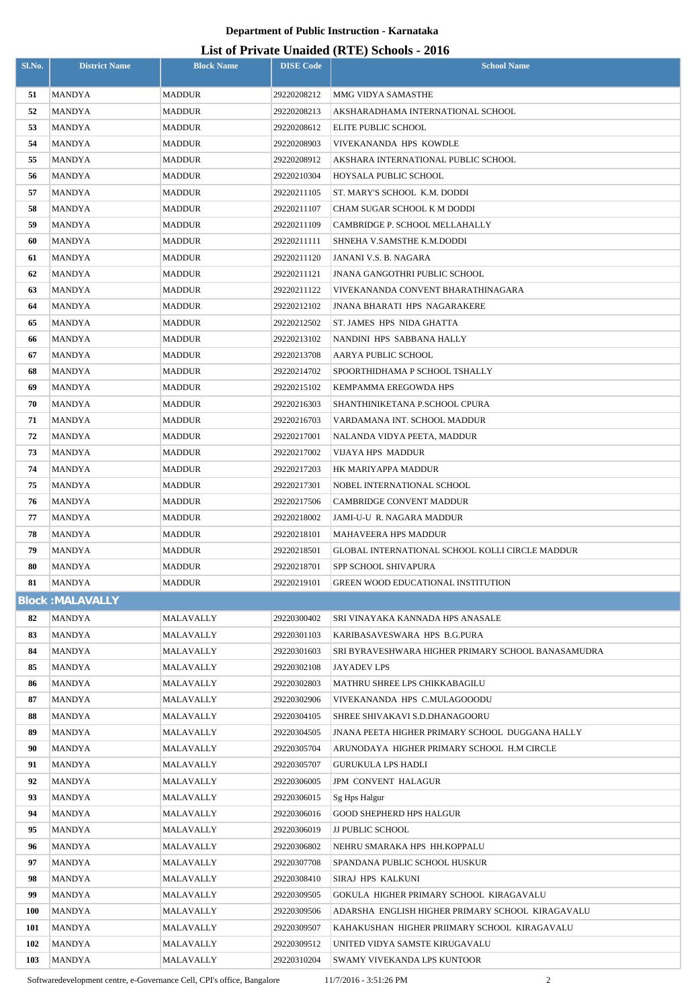### **List of Private Unaided (RTE) Schools - 2016**

| Sl.No. | <b>District Name</b>   | <b>Block Name</b> | <b>DISE Code</b> | <b>School Name</b>                                 |
|--------|------------------------|-------------------|------------------|----------------------------------------------------|
| 51     | <b>MANDYA</b>          | <b>MADDUR</b>     | 29220208212      | MMG VIDYA SAMASTHE                                 |
| 52     | MANDYA                 | <b>MADDUR</b>     | 29220208213      | AKSHARADHAMA INTERNATIONAL SCHOOL                  |
| 53     | MANDYA                 | <b>MADDUR</b>     | 29220208612      | ELITE PUBLIC SCHOOL                                |
| 54     | MANDYA                 | <b>MADDUR</b>     | 29220208903      | VIVEKANANDA HPS KOWDLE                             |
| 55     | MANDYA                 | <b>MADDUR</b>     | 29220208912      | AKSHARA INTERNATIONAL PUBLIC SCHOOL                |
| 56     | MANDYA                 | <b>MADDUR</b>     | 29220210304      | HOYSALA PUBLIC SCHOOL                              |
| 57     | MANDYA                 | <b>MADDUR</b>     | 29220211105      | ST. MARY'S SCHOOL K.M. DODDI                       |
| 58     | MANDYA                 | <b>MADDUR</b>     | 29220211107      | CHAM SUGAR SCHOOL K M DODDI                        |
| 59     | MANDYA                 | <b>MADDUR</b>     | 29220211109      | CAMBRIDGE P. SCHOOL MELLAHALLY                     |
| 60     | MANDYA                 | <b>MADDUR</b>     | 29220211111      | SHNEHA V.SAMSTHE K.M.DODDI                         |
| 61     | MANDYA                 | <b>MADDUR</b>     | 29220211120      | JANANI V.S. B. NAGARA                              |
| 62     | MANDYA                 | <b>MADDUR</b>     | 29220211121      | JNANA GANGOTHRI PUBLIC SCHOOL                      |
| 63     | MANDYA                 | <b>MADDUR</b>     | 29220211122      | VIVEKANANDA CONVENT BHARATHINAGARA                 |
| 64     | MANDYA                 | <b>MADDUR</b>     | 29220212102      | JNANA BHARATI HPS NAGARAKERE                       |
| 65     | MANDYA                 | <b>MADDUR</b>     | 29220212502      | ST. JAMES HPS NIDA GHATTA                          |
| 66     | MANDYA                 | <b>MADDUR</b>     | 29220213102      | NANDINI HPS SABBANA HALLY                          |
| 67     | MANDYA                 | <b>MADDUR</b>     | 29220213708      | AARYA PUBLIC SCHOOL                                |
| 68     | MANDYA                 | <b>MADDUR</b>     | 29220214702      | SPOORTHIDHAMA P SCHOOL TSHALLY                     |
| 69     | <b>MANDYA</b>          | <b>MADDUR</b>     | 29220215102      | KEMPAMMA EREGOWDA HPS                              |
| 70     | MANDYA                 | <b>MADDUR</b>     | 29220216303      | SHANTHINIKETANA P.SCHOOL CPURA                     |
| 71     | <b>MANDYA</b>          | <b>MADDUR</b>     | 29220216703      | VARDAMANA INT. SCHOOL MADDUR                       |
| 72     | MANDYA                 | <b>MADDUR</b>     | 29220217001      | NALANDA VIDYA PEETA, MADDUR                        |
| 73     | <b>MANDYA</b>          | <b>MADDUR</b>     | 29220217002      | VIJAYA HPS MADDUR                                  |
| 74     | MANDYA                 | <b>MADDUR</b>     | 29220217203      | HK MARIYAPPA MADDUR                                |
| 75     | MANDYA                 | <b>MADDUR</b>     | 29220217301      | NOBEL INTERNATIONAL SCHOOL                         |
| 76     | MANDYA                 | <b>MADDUR</b>     | 29220217506      | CAMBRIDGE CONVENT MADDUR                           |
| 77     | <b>MANDYA</b>          | <b>MADDUR</b>     | 29220218002      | JAMI-U-U R. NAGARA MADDUR                          |
| 78     | MANDYA                 | MADDUR            | 29220218101      | <b>MAHAVEERA HPS MADDUR</b>                        |
| 79     | <b>MANDYA</b>          | <b>MADDUR</b>     | 29220218501      | GLOBAL INTERNATIONAL SCHOOL KOLLI CIRCLE MADDUR    |
| 80     | <b>MANDYA</b>          | <b>MADDUR</b>     | 29220218701      | SPP SCHOOL SHIVAPURA                               |
| 81     | <b>MANDYA</b>          | <b>MADDUR</b>     | 29220219101      | <b>GREEN WOOD EDUCATIONAL INSTITUTION</b>          |
|        | <b>Block:MALAVALLY</b> |                   |                  |                                                    |
| 82     | <b>MANDYA</b>          | MALAVALLY         | 29220300402      | SRI VINAYAKA KANNADA HPS ANASALE                   |
| 83     | <b>MANDYA</b>          | MALAVALLY         | 29220301103      | KARIBASAVESWARA HPS B.G.PURA                       |
| 84     | MANDYA                 | MALAVALLY         | 29220301603      | SRI BYRAVESHWARA HIGHER PRIMARY SCHOOL BANASAMUDRA |
| 85     | MANDYA                 | MALAVALLY         | 29220302108      | JAYADEV LPS                                        |
| 86     | MANDYA                 | MALAVALLY         | 29220302803      | MATHRU SHREE LPS CHIKKABAGILU                      |
| 87     | MANDYA                 | MALAVALLY         | 29220302906      | VIVEKANANDA HPS C.MULAGOOODU                       |
| 88     | MANDYA                 | MALAVALLY         | 29220304105      | SHREE SHIVAKAVI S.D.DHANAGOORU                     |
| 89     | <b>MANDYA</b>          | MALAVALLY         | 29220304505      | JNANA PEETA HIGHER PRIMARY SCHOOL  DUGGANA HALLY   |
| 90     | <b>MANDYA</b>          | MALAVALLY         | 29220305704      | ARUNODAYA HIGHER PRIMARY SCHOOL H.M CIRCLE         |
| 91     | MANDYA                 | MALAVALLY         | 29220305707      | GURUKULA LPS HADLI                                 |
| 92     | <b>MANDYA</b>          | MALAVALLY         | 29220306005      | JPM CONVENT HALAGUR                                |
| 93     | <b>MANDYA</b>          | MALAVALLY         | 29220306015      | Sg Hps Halgur                                      |
| 94     | <b>MANDYA</b>          | MALAVALLY         | 29220306016      | <b>GOOD SHEPHERD HPS HALGUR</b>                    |
| 95     | MANDYA                 | MALAVALLY         | 29220306019      | <b>JJ PUBLIC SCHOOL</b>                            |
| 96     | <b>MANDYA</b>          | MALAVALLY         | 29220306802      | NEHRU SMARAKA HPS HH.KOPPALU                       |
| 97     | MANDYA                 | MALAVALLY         | 29220307708      | SPANDANA PUBLIC SCHOOL HUSKUR                      |
| 98     | MANDYA                 | MALAVALLY         | 29220308410      | SIRAJ HPS KALKUNI                                  |
| 99     | MANDYA                 | MALAVALLY         | 29220309505      | GOKULA HIGHER PRIMARY SCHOOL KIRAGAVALU            |
| 100    | MANDYA                 | MALAVALLY         | 29220309506      | ADARSHA ENGLISH HIGHER PRIMARY SCHOOL KIRAGAVALU   |
| 101    | MANDYA                 | MALAVALLY         | 29220309507      | KAHAKUSHAN HIGHER PRIIMARY SCHOOL KIRAGAVALU       |
| 102    | MANDYA                 | MALAVALLY         | 29220309512      | UNITED VIDYA SAMSTE KIRUGAVALU                     |
| 103    | MANDYA                 | MALAVALLY         | 29220310204      | SWAMY VIVEKANDA LPS KUNTOOR                        |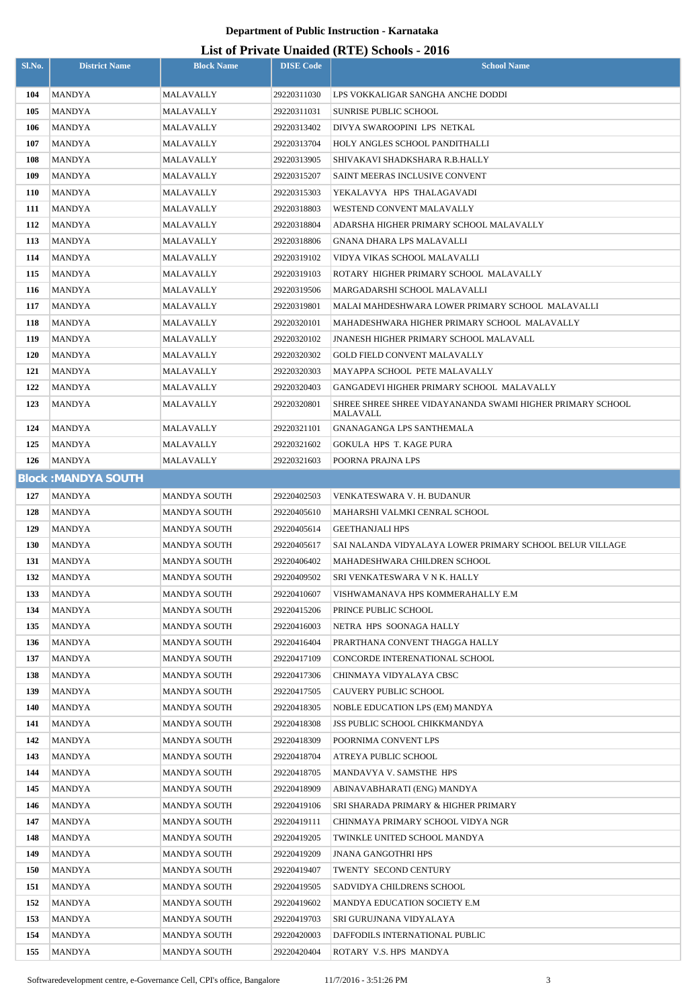### **List of Private Unaided (RTE) Schools - 2016**

| Sl.No.            | <b>District Name</b>       | <b>Block Name</b>            | <b>DISE Code</b>           | <b>School Name</b>                                            |
|-------------------|----------------------------|------------------------------|----------------------------|---------------------------------------------------------------|
|                   |                            |                              |                            |                                                               |
| 104               | <b>MANDYA</b>              | MALAVALLY                    | 29220311030                | LPS VOKKALIGAR SANGHA ANCHE DODDI                             |
| 105<br>106        | MANDYA                     | MALAVALLY<br>MALAVALLY       | 29220311031                | SUNRISE PUBLIC SCHOOL                                         |
| 107               | MANDYA<br><b>MANDYA</b>    | MALAVALLY                    | 29220313402<br>29220313704 | DIVYA SWAROOPINI LPS NETKAL<br>HOLY ANGLES SCHOOL PANDITHALLI |
| 108               | MANDYA                     | MALAVALLY                    | 29220313905                | SHIVAKAVI SHADKSHARA R.B.HALLY                                |
| 109               | MANDYA                     | MALAVALLY                    | 29220315207                | SAINT MEERAS INCLUSIVE CONVENT                                |
| <b>110</b>        | <b>MANDYA</b>              | MALAVALLY                    | 29220315303                | YEKALAVYA HPS THALAGAVADI                                     |
| 111               | MANDYA                     | MALAVALLY                    | 29220318803                | WESTEND CONVENT MALAVALLY                                     |
| 112               | MANDYA                     | MALAVALLY                    | 29220318804                | ADARSHA HIGHER PRIMARY SCHOOL MALAVALLY                       |
| 113               | MANDYA                     | MALAVALLY                    | 29220318806                | GNANA DHARA LPS MALAVALLI                                     |
| 114               | MANDYA                     | MALAVALLY                    | 29220319102                | VIDYA VIKAS SCHOOL MALAVALLI                                  |
| 115               | <b>MANDYA</b>              | MALAVALLY                    | 29220319103                | ROTARY HIGHER PRIMARY SCHOOL MALAVALLY                        |
| 116               | MANDYA                     | MALAVALLY                    | 29220319506                | MARGADARSHI SCHOOL MALAVALLI                                  |
| 117               | MANDYA                     | MALAVALLY                    | 29220319801                | MALAI MAHDESHWARA LOWER PRIMARY SCHOOL MALAVALLI              |
| 118               | MANDYA                     | MALAVALLY                    | 29220320101                | MAHADESHWARA HIGHER PRIMARY SCHOOL MALAVALLY                  |
| 119               | MANDYA                     | MALAVALLY                    | 29220320102                | JNANESH HIGHER PRIMARY SCHOOL MALAVALL                        |
| <b>120</b>        | MANDYA                     | MALAVALLY                    | 29220320302                | <b>GOLD FIELD CONVENT MALAVALLY</b>                           |
| 121               | MANDYA                     | MALAVALLY                    | 29220320303                | MAYAPPA SCHOOL PETE MALAVALLY                                 |
| 122               | <b>MANDYA</b>              | MALAVALLY                    | 29220320403                | GANGADEVI HIGHER PRIMARY SCHOOL MALAVALLY                     |
| 123               | MANDYA                     | MALAVALLY                    | 29220320801                | SHREE SHREE SHREE VIDAYANANDA SWAMI HIGHER PRIMARY SCHOOL     |
| 124               |                            |                              |                            | MALAVALL                                                      |
| 125               | MANDYA<br>MANDYA           | MALAVALLY<br>MALAVALLY       | 29220321101<br>29220321602 | GNANAGANGA LPS SANTHEMALA<br><b>GOKULA HPS T. KAGE PURA</b>   |
| 126               | <b>MANDYA</b>              | MALAVALLY                    | 29220321603                | POORNA PRAJNA LPS                                             |
|                   |                            |                              |                            |                                                               |
|                   | <b>Block: MANDYA SOUTH</b> |                              |                            |                                                               |
| 127               | MANDYA                     | MANDYA SOUTH                 | 29220402503                | VENKATESWARA V. H. BUDANUR                                    |
| 128               | <b>MANDYA</b>              | MANDYA SOUTH                 | 29220405610                | MAHARSHI VALMKI CENRAL SCHOOL                                 |
| 129               | <b>MANDYA</b>              | MANDYA SOUTH                 | 29220405614                | <b>GEETHANJALI HPS</b>                                        |
| <b>130</b><br>131 | MANDYA<br>MANDYA           | MANDYA SOUTH<br>MANDYA SOUTH | 29220405617<br>29220406402 | SAI NALANDA VIDYALAYA LOWER PRIMARY SCHOOL BELUR VILLAGE      |
| 132               | MANDYA                     | MANDYA SOUTH                 | 29220409502                | MAHADESHWARA CHILDREN SCHOOL<br>SRI VENKATESWARA V N K. HALLY |
| 133               | <b>MANDYA</b>              | MANDYA SOUTH                 | 29220410607                | VISHWAMANAVA HPS KOMMERAHALLY E.M                             |
| 134               | MANDYA                     | MANDYA SOUTH                 | 29220415206                | PRINCE PUBLIC SCHOOL                                          |
| 135               | MANDYA                     | MANDYA SOUTH                 | 29220416003                | NETRA HPS SOONAGA HALLY                                       |
| 136               | MANDYA                     | MANDYA SOUTH                 | 29220416404                | PRARTHANA CONVENT THAGGA HALLY                                |
| 137               | MANDYA                     | MANDYA SOUTH                 | 29220417109                | CONCORDE INTERENATIONAL SCHOOL                                |
| 138               | MANDYA                     | MANDYA SOUTH                 | 29220417306                | CHINMAYA VIDYALAYA CBSC                                       |
| 139               | MANDYA                     | MANDYA SOUTH                 | 29220417505                | CAUVERY PUBLIC SCHOOL                                         |
| 140               | MANDYA                     | MANDYA SOUTH                 | 29220418305                | NOBLE EDUCATION LPS (EM) MANDYA                               |
| 141               | MANDYA                     | MANDYA SOUTH                 | 29220418308                | <b>JSS PUBLIC SCHOOL CHIKKMANDYA</b>                          |
| 142               | MANDYA                     | MANDYA SOUTH                 | 29220418309                | POORNIMA CONVENT LPS                                          |
| 143               | MANDYA                     | MANDYA SOUTH                 | 29220418704                | ATREYA PUBLIC SCHOOL                                          |
| 144               | MANDYA                     | MANDYA SOUTH                 | 29220418705                | MANDAVYA V. SAMSTHE HPS                                       |
| 145               | MANDYA                     | MANDYA SOUTH                 | 29220418909                | ABINAVABHARATI (ENG) MANDYA                                   |
| 146               | MANDYA                     | MANDYA SOUTH                 | 29220419106                | SRI SHARADA PRIMARY & HIGHER PRIMARY                          |
| 147               | MANDYA                     | MANDYA SOUTH                 | 29220419111                | CHINMAYA PRIMARY SCHOOL VIDYA NGR                             |
| 148               | MANDYA                     | MANDYA SOUTH                 | 29220419205                | TWINKLE UNITED SCHOOL MANDYA                                  |
| 149               | MANDYA                     | MANDYA SOUTH                 | 29220419209                | <b>JNANA GANGOTHRI HPS</b>                                    |
| <b>150</b>        | MANDYA                     | MANDYA SOUTH                 | 29220419407                | TWENTY SECOND CENTURY                                         |
| 151               | <b>MANDYA</b>              | MANDYA SOUTH                 | 29220419505                | SADVIDYA CHILDRENS SCHOOL                                     |
| 152               | MANDYA                     | MANDYA SOUTH                 | 29220419602                | MANDYA EDUCATION SOCIETY E.M                                  |
| 153               | <b>MANDYA</b>              | MANDYA SOUTH                 | 29220419703                | SRI GURUJNANA VIDYALAYA                                       |
| 154               | <b>MANDYA</b>              | MANDYA SOUTH                 | 29220420003                | DAFFODILS INTERNATIONAL PUBLIC                                |
| 155               | <b>MANDYA</b>              | MANDYA SOUTH                 | 29220420404                | ROTARY V.S. HPS MANDYA                                        |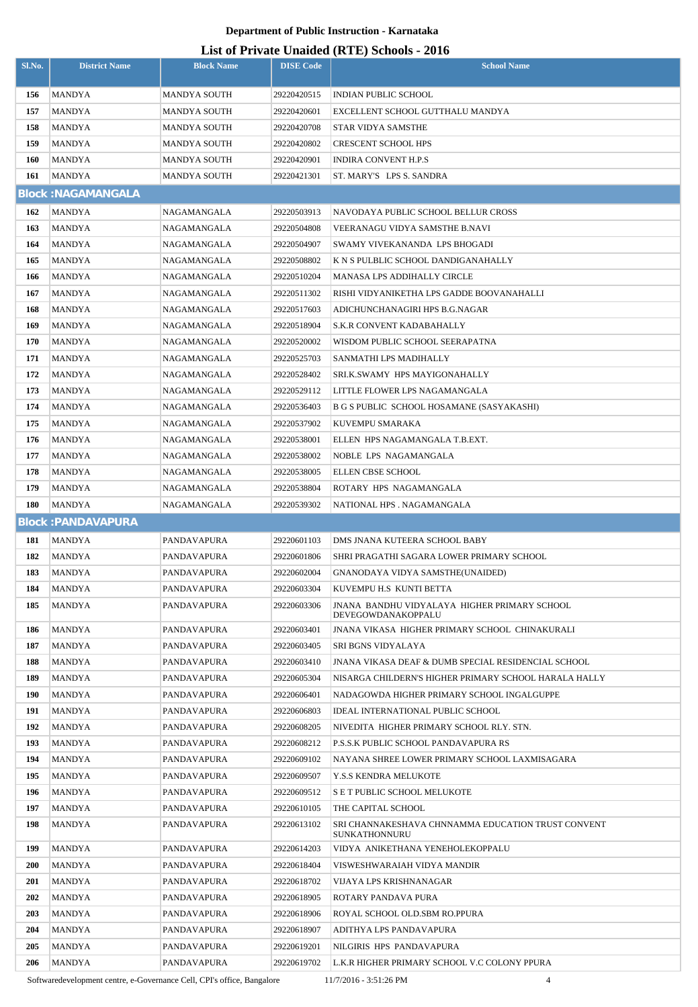### **List of Private Unaided (RTE) Schools - 2016**

| Sl.No.     | <b>District Name</b>      | <b>Block Name</b>            | <b>DISE Code</b>           | $\sum_{i=1}^{n}$<br><b>School Name</b>                                     |
|------------|---------------------------|------------------------------|----------------------------|----------------------------------------------------------------------------|
|            |                           |                              |                            |                                                                            |
| 156        | <b>MANDYA</b>             | MANDYA SOUTH                 | 29220420515                | INDIAN PUBLIC SCHOOL                                                       |
| 157        | MANDYA                    | MANDYA SOUTH                 | 29220420601                | EXCELLENT SCHOOL GUTTHALU MANDYA                                           |
| 158<br>159 | MANDYA<br>MANDYA          | MANDYA SOUTH                 | 29220420708                | STAR VIDYA SAMSTHE<br><b>CRESCENT SCHOOL HPS</b>                           |
| 160        | MANDYA                    | MANDYA SOUTH<br>MANDYA SOUTH | 29220420802<br>29220420901 | INDIRA CONVENT H.P.S                                                       |
| 161        | MANDYA                    | MANDYA SOUTH                 | 29220421301                | ST. MARY'S LPS S. SANDRA                                                   |
|            | <b>Block: NAGAMANGALA</b> |                              |                            |                                                                            |
|            |                           |                              |                            |                                                                            |
| 162        | MANDYA                    | NAGAMANGALA                  | 29220503913                | NAVODAYA PUBLIC SCHOOL BELLUR CROSS                                        |
| 163        | MANDYA                    | NAGAMANGALA                  | 29220504808                | VEERANAGU VIDYA SAMSTHE B.NAVI                                             |
| 164<br>165 | MANDYA                    | NAGAMANGALA<br>NAGAMANGALA   | 29220504907<br>29220508802 | SWAMY VIVEKANANDA LPS BHOGADI<br>K N S PULBLIC SCHOOL DANDIGANAHALLY       |
| 166        | MANDYA<br>MANDYA          | NAGAMANGALA                  | 29220510204                | <b>MANASA LPS ADDIHALLY CIRCLE</b>                                         |
| 167        | MANDYA                    | NAGAMANGALA                  | 29220511302                | RISHI VIDYANIKETHA LPS GADDE BOOVANAHALLI                                  |
| 168        | MANDYA                    | NAGAMANGALA                  | 29220517603                | ADICHUNCHANAGIRI HPS B.G.NAGAR                                             |
| 169        | MANDYA                    | NAGAMANGALA                  | 29220518904                | S.K.R CONVENT KADABAHALLY                                                  |
| 170        | MANDYA                    | NAGAMANGALA                  | 29220520002                | WISDOM PUBLIC SCHOOL SEERAPATNA                                            |
| 171        | MANDYA                    | NAGAMANGALA                  | 29220525703                | SANMATHI LPS MADIHALLY                                                     |
| 172        | MANDYA                    | NAGAMANGALA                  | 29220528402                | SRI.K.SWAMY HPS MAYIGONAHALLY                                              |
| 173        | MANDYA                    | NAGAMANGALA                  | 29220529112                | LITTLE FLOWER LPS NAGAMANGALA                                              |
| 174        | MANDYA                    | NAGAMANGALA                  | 29220536403                | B G S PUBLIC SCHOOL HOSAMANE (SASYAKASHI)                                  |
| 175        | MANDYA                    | NAGAMANGALA                  | 29220537902                | KUVEMPU SMARAKA                                                            |
| 176        | MANDYA                    | NAGAMANGALA                  | 29220538001                | ELLEN HPS NAGAMANGALA T.B.EXT.                                             |
| 177        | MANDYA                    | NAGAMANGALA                  | 29220538002                | NOBLE LPS NAGAMANGALA                                                      |
| 178        | MANDYA                    | NAGAMANGALA                  | 29220538005                | <b>ELLEN CBSE SCHOOL</b>                                                   |
| 179        | MANDYA                    | NAGAMANGALA                  | 29220538804                | ROTARY HPS NAGAMANGALA                                                     |
| 180        | MANDYA                    | NAGAMANGALA                  | 29220539302                | NATIONAL HPS . NAGAMANGALA                                                 |
|            | <b>Block: PANDAVAPURA</b> |                              |                            |                                                                            |
| 181        | <b>MANDYA</b>             | PANDAVAPURA                  | 29220601103                | DMS JNANA KUTEERA SCHOOL BABY                                              |
| 182        | <b>MANDYA</b>             | PANDAVAPURA                  | 29220601806                | SHRI PRAGATHI SAGARA LOWER PRIMARY SCHOOL                                  |
| 183        | MANDYA                    | PANDAVAPURA                  | 29220602004                | GNANODAYA VIDYA SAMSTHE(UNAIDED)                                           |
| 184        | MANDYA                    | <b>PANDAVAPURA</b>           | 29220603304                | KUVEMPU H.S KUNTI BETTA                                                    |
| 185        | MANDYA                    | PANDAVAPURA                  | 29220603306                | JNANA BANDHU VIDYALAYA HIGHER PRIMARY SCHOOL<br>DEVEGOWDANAKOPPALU         |
| 186        | MANDYA                    | PANDAVAPURA                  | 29220603401                | <b>JNANA VIKASA HIGHER PRIMARY SCHOOL CHINAKURALI</b>                      |
| 187        | MANDYA                    | PANDAVAPURA                  | 29220603405                | SRI BGNS VIDYALAYA                                                         |
| 188        | MANDYA                    | PANDAVAPURA                  | 29220603410                | <b>JNANA VIKASA DEAF &amp; DUMB SPECIAL RESIDENCIAL SCHOOL</b>             |
| 189        | MANDYA                    | PANDAVAPURA                  | 29220605304                | NISARGA CHILDERN'S HIGHER PRIMARY SCHOOL HARALA HALLY                      |
| 190        | MANDYA                    | PANDAVAPURA                  | 29220606401                | NADAGOWDA HIGHER PRIMARY SCHOOL INGALGUPPE                                 |
| 191        | MANDYA                    | PANDAVAPURA                  | 29220606803                | <b>IDEAL INTERNATIONAL PUBLIC SCHOOL</b>                                   |
| 192        | MANDYA                    | PANDAVAPURA                  | 29220608205                | NIVEDITA HIGHER PRIMARY SCHOOL RLY. STN.                                   |
| 193        | MANDYA                    | PANDAVAPURA                  | 29220608212                | P.S.S.K PUBLIC SCHOOL PANDAVAPURA RS                                       |
| 194        | MANDYA                    | PANDAVAPURA                  | 29220609102                | NAYANA SHREE LOWER PRIMARY SCHOOL LAXMISAGARA                              |
| 195        | <b>MANDYA</b>             | PANDAVAPURA                  | 29220609507                | Y.S.S KENDRA MELUKOTE                                                      |
| 196        | MANDYA                    | PANDAVAPURA                  | 29220609512                | S E T PUBLIC SCHOOL MELUKOTE                                               |
| 197        | MANDYA                    | PANDAVAPURA                  | 29220610105                | THE CAPITAL SCHOOL                                                         |
| 198        | MANDYA                    | PANDAVAPURA                  | 29220613102                | SRI CHANNAKESHAVA CHNNAMMA EDUCATION TRUST CONVENT<br><b>SUNKATHONNURU</b> |
| 199        | MANDYA                    | PANDAVAPURA                  | 29220614203                | VIDYA ANIKETHANA YENEHOLEKOPPALU                                           |
| <b>200</b> | MANDYA                    | PANDAVAPURA                  | 29220618404                | VISWESHWARAIAH VIDYA MANDIR                                                |
| 201        | MANDYA                    | PANDAVAPURA                  | 29220618702                | VIJAYA LPS KRISHNANAGAR                                                    |
| 202        | MANDYA                    | PANDAVAPURA                  | 29220618905                | ROTARY PANDAVA PURA                                                        |
| 203        | MANDYA                    | PANDAVAPURA                  | 29220618906                | ROYAL SCHOOL OLD.SBM RO.PPURA                                              |
| 204        | MANDYA                    | PANDAVAPURA                  | 29220618907                | ADITHYA LPS PANDAVAPURA                                                    |
| 205        | <b>MANDYA</b>             | PANDAVAPURA                  | 29220619201                | NILGIRIS HPS PANDAVAPURA                                                   |
| 206        | MANDYA                    | PANDAVAPURA                  | 29220619702                | L.K.R HIGHER PRIMARY SCHOOL V.C COLONY PPURA                               |

Softwaredevelopment centre, e-Governance Cell, CPI's office, Bangalore 11/7/2016 - 3:51:26 PM 4